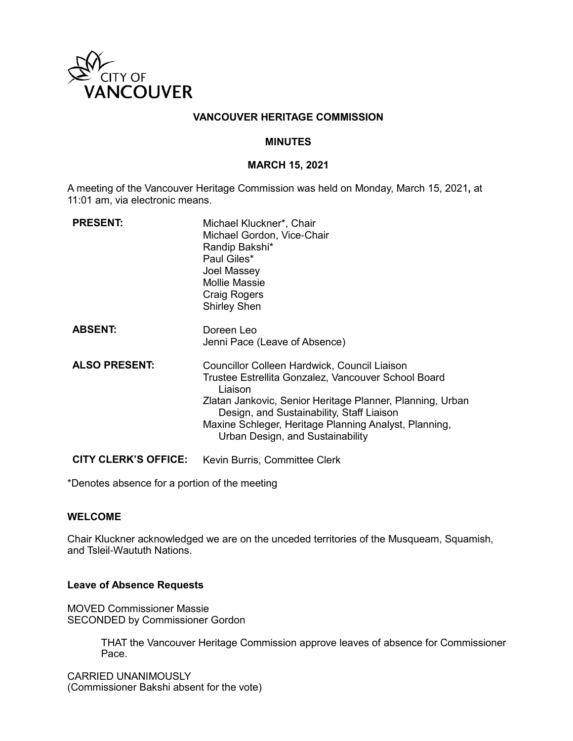

### **VANCOUVER HERITAGE COMMISSION**

### **MINUTES**

#### **MARCH 15, 2021**

A meeting of the Vancouver Heritage Commission was held on Monday, March 15, 2021**,** at 11:01 am, via electronic means.

| <b>PRESENT:</b>             | Michael Kluckner*, Chair<br>Michael Gordon, Vice-Chair<br>Randip Bakshi*<br>Paul Giles*<br>Joel Massey<br><b>Mollie Massie</b><br>Craig Rogers<br><b>Shirley Shen</b>                                                                                                                                                 |
|-----------------------------|-----------------------------------------------------------------------------------------------------------------------------------------------------------------------------------------------------------------------------------------------------------------------------------------------------------------------|
| <b>ABSENT:</b>              | Doreen Leo<br>Jenni Pace (Leave of Absence)                                                                                                                                                                                                                                                                           |
| <b>ALSO PRESENT:</b>        | Councillor Colleen Hardwick, Council Liaison<br>Trustee Estrellita Gonzalez, Vancouver School Board<br>Liaison<br>Zlatan Jankovic, Senior Heritage Planner, Planning, Urban<br>Design, and Sustainability, Staff Liaison<br>Maxine Schleger, Heritage Planning Analyst, Planning,<br>Urban Design, and Sustainability |
| <b>CITY CLERK'S OFFICE:</b> | Kevin Burris, Committee Clerk                                                                                                                                                                                                                                                                                         |

\*Denotes absence for a portion of the meeting

### **WELCOME**

Chair Kluckner acknowledged we are on the unceded territories of the Musqueam, Squamish, and Tsleil-Waututh Nations.

### **Leave of Absence Requests**

MOVED Commissioner Massie SECONDED by Commissioner Gordon

> THAT the Vancouver Heritage Commission approve leaves of absence for Commissioner Pace.

CARRIED UNANIMOUSLY (Commissioner Bakshi absent for the vote)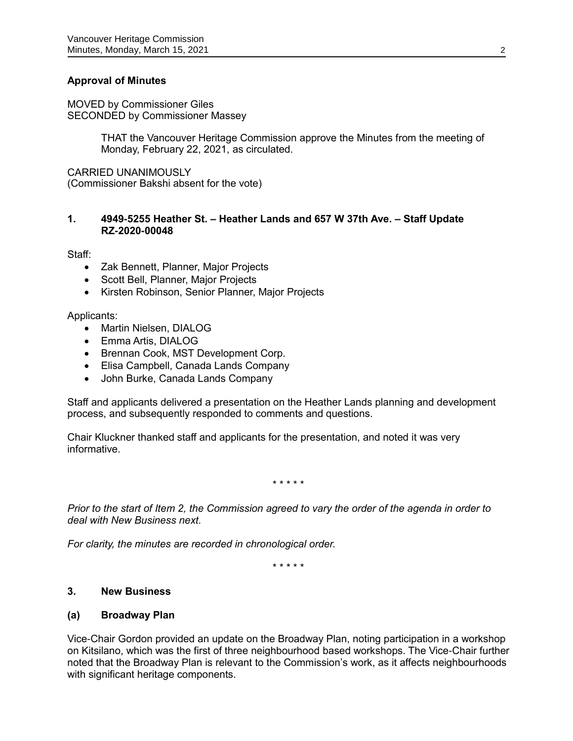## **Approval of Minutes**

MOVED by Commissioner Giles SECONDED by Commissioner Massey

> THAT the Vancouver Heritage Commission approve the Minutes from the meeting of Monday, February 22, 2021, as circulated.

CARRIED UNANIMOUSLY (Commissioner Bakshi absent for the vote)

### **1. 4949-5255 Heather St. – Heather Lands and 657 W 37th Ave. – Staff Update RZ-2020-00048**

Staff:

- Zak Bennett, Planner, Major Projects
- Scott Bell, Planner, Major Projects
- Kirsten Robinson, Senior Planner, Major Projects

Applicants:

- Martin Nielsen, DIALOG
- Emma Artis, DIALOG
- Brennan Cook, MST Development Corp.
- Elisa Campbell, Canada Lands Company
- John Burke, Canada Lands Company

Staff and applicants delivered a presentation on the Heather Lands planning and development process, and subsequently responded to comments and questions.

Chair Kluckner thanked staff and applicants for the presentation, and noted it was very informative.

\* \* \* \* \*

*Prior to the start of Item 2, the Commission agreed to vary the order of the agenda in order to deal with New Business next.* 

*For clarity, the minutes are recorded in chronological order.*

\* \* \* \* \*

## **3. New Business**

#### **(a) Broadway Plan**

Vice-Chair Gordon provided an update on the Broadway Plan, noting participation in a workshop on Kitsilano, which was the first of three neighbourhood based workshops. The Vice-Chair further noted that the Broadway Plan is relevant to the Commission's work, as it affects neighbourhoods with significant heritage components.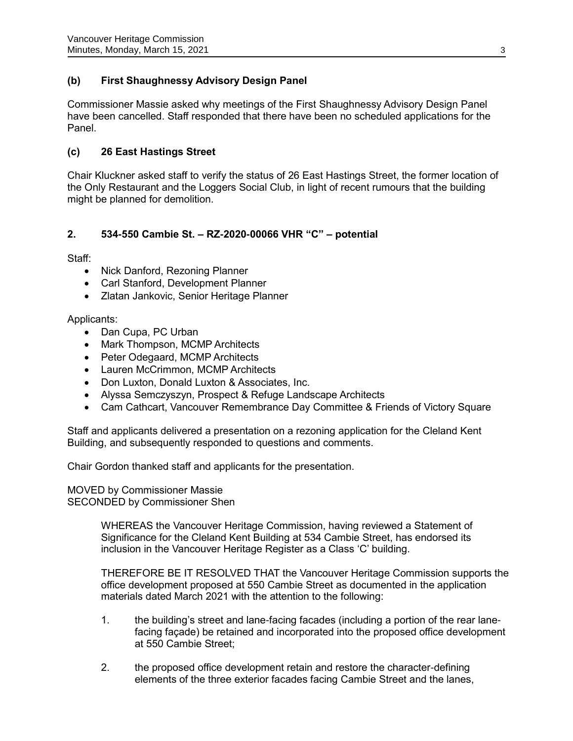# **(b) First Shaughnessy Advisory Design Panel**

Commissioner Massie asked why meetings of the First Shaughnessy Advisory Design Panel have been cancelled. Staff responded that there have been no scheduled applications for the Panel.

## **(c) 26 East Hastings Street**

Chair Kluckner asked staff to verify the status of 26 East Hastings Street, the former location of the Only Restaurant and the Loggers Social Club, in light of recent rumours that the building might be planned for demolition.

## **2. 534-550 Cambie St. – RZ-2020-00066 VHR "C" – potential**

Staff:

- Nick Danford, Rezoning Planner
- Carl Stanford, Development Planner
- Zlatan Jankovic, Senior Heritage Planner

Applicants:

- Dan Cupa, PC Urban
- Mark Thompson, MCMP Architects
- Peter Odegaard, MCMP Architects
- Lauren McCrimmon, MCMP Architects
- Don Luxton, Donald Luxton & Associates, Inc.
- Alyssa Semczyszyn, Prospect & Refuge Landscape Architects
- Cam Cathcart, Vancouver Remembrance Day Committee & Friends of Victory Square

Staff and applicants delivered a presentation on a rezoning application for the Cleland Kent Building, and subsequently responded to questions and comments.

Chair Gordon thanked staff and applicants for the presentation.

MOVED by Commissioner Massie SECONDED by Commissioner Shen

> WHEREAS the Vancouver Heritage Commission, having reviewed a Statement of Significance for the Cleland Kent Building at 534 Cambie Street, has endorsed its inclusion in the Vancouver Heritage Register as a Class 'C' building.

THEREFORE BE IT RESOLVED THAT the Vancouver Heritage Commission supports the office development proposed at 550 Cambie Street as documented in the application materials dated March 2021 with the attention to the following:

- 1. the building's street and lane-facing facades (including a portion of the rear lanefacing façade) be retained and incorporated into the proposed office development at 550 Cambie Street;
- 2. the proposed office development retain and restore the character-defining elements of the three exterior facades facing Cambie Street and the lanes,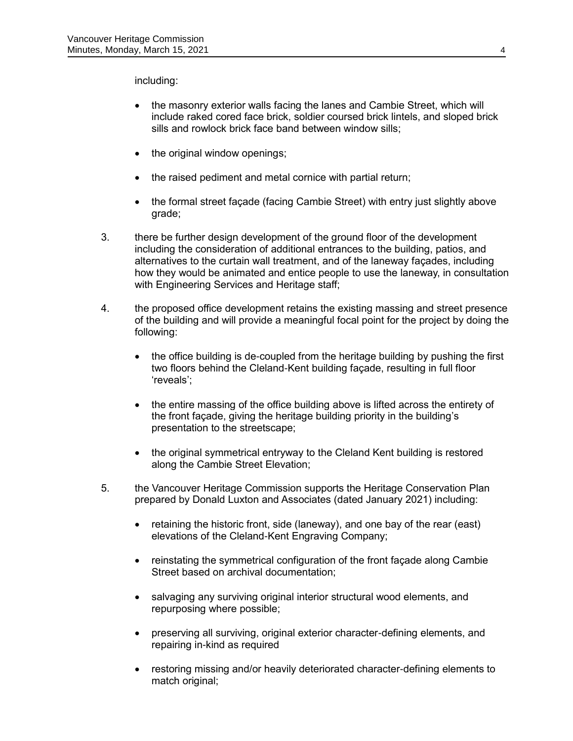including:

- the masonry exterior walls facing the lanes and Cambie Street, which will include raked cored face brick, soldier coursed brick lintels, and sloped brick sills and rowlock brick face band between window sills;
- the original window openings;
- the raised pediment and metal cornice with partial return;
- the formal street façade (facing Cambie Street) with entry just slightly above grade;
- 3. there be further design development of the ground floor of the development including the consideration of additional entrances to the building, patios, and alternatives to the curtain wall treatment, and of the laneway façades, including how they would be animated and entice people to use the laneway, in consultation with Engineering Services and Heritage staff;
- 4. the proposed office development retains the existing massing and street presence of the building and will provide a meaningful focal point for the project by doing the following:
	- the office building is de-coupled from the heritage building by pushing the first two floors behind the Cleland-Kent building façade, resulting in full floor 'reveals';
	- the entire massing of the office building above is lifted across the entirety of the front façade, giving the heritage building priority in the building's presentation to the streetscape;
	- the original symmetrical entryway to the Cleland Kent building is restored along the Cambie Street Elevation;
- 5. the Vancouver Heritage Commission supports the Heritage Conservation Plan prepared by Donald Luxton and Associates (dated January 2021) including:
	- retaining the historic front, side (laneway), and one bay of the rear (east) elevations of the Cleland-Kent Engraving Company;
	- reinstating the symmetrical configuration of the front façade along Cambie Street based on archival documentation;
	- salvaging any surviving original interior structural wood elements, and repurposing where possible;
	- preserving all surviving, original exterior character-defining elements, and repairing in-kind as required
	- restoring missing and/or heavily deteriorated character-defining elements to match original;